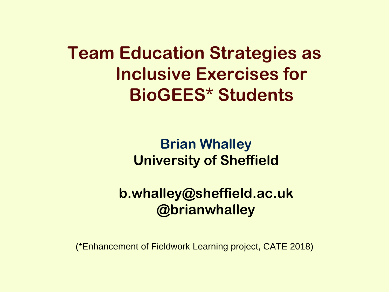**Team Education Strategies as Inclusive Exercises for BioGEES\* Students**

> **Brian Whalley University of Sheffield**

**b.whalley@sheffield.ac.uk @brianwhalley**

(\*Enhancement of Fieldwork Learning project, CATE 2018)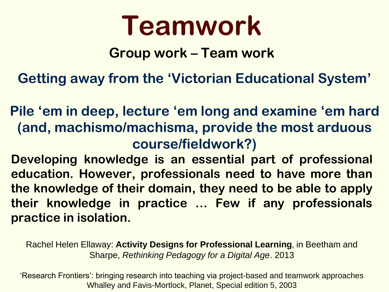# **Teamwork**

### **Group work – Team work**

**Getting away from the 'Victorian Educational System'**

**Pile 'em in deep, lecture 'em long and examine 'em hard (and, machismo/machisma, provide the most arduous course/fieldwork?)**

**Developing knowledge is an essential part of professional education. However, professionals need to have more than the knowledge of their domain, they need to be able to apply their knowledge in practice … Few if any professionals practice in isolation.**

Rachel Helen Ellaway: **Activity Designs for Professional Learning**, in Beetham and Sharpe, *Rethinking Pedagogy for a Digital Age*. 2013

'Research Frontiers': bringing research into teaching via project-based and teamwork approaches Whalley and Favis-Mortlock, Planet, Special edition 5, 2003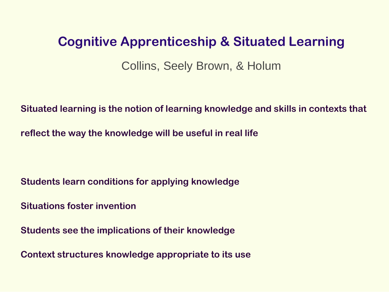#### **Cognitive Apprenticeship & Situated Learning**

Collins, Seely Brown, & Holum

**Situated learning is the notion of learning knowledge and skills in contexts that** 

**reflect the way the knowledge will be useful in real life**

**Students learn conditions for applying knowledge**

**Situations foster invention**

**Students see the implications of their knowledge**

**Context structures knowledge appropriate to its use**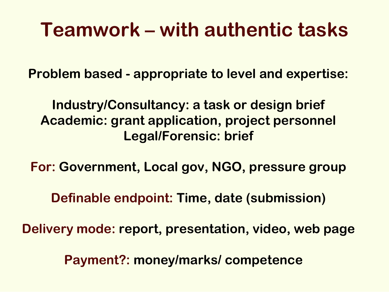# **Teamwork – with authentic tasks**

**Problem based - appropriate to level and expertise:**

**Industry/Consultancy: a task or design brief Academic: grant application, project personnel Legal/Forensic: brief**

**For: Government, Local gov, NGO, pressure group**

**Definable endpoint: Time, date (submission)**

**Delivery mode: report, presentation, video, web page**

**Payment?: money/marks/ competence**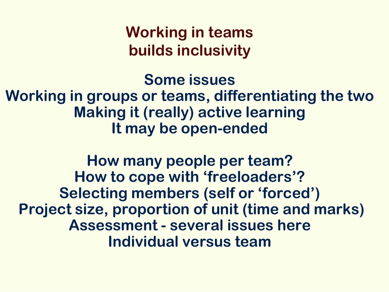**Working in teams builds inclusivity**

**Some issues Working in groups or teams, differentiating the two Making it (really) active learning It may be open-ended**

**How many people per team? How to cope with 'freeloaders'? Selecting members (self or 'forced') Project size, proportion of unit (time and marks) Assessment - several issues here Individual versus team**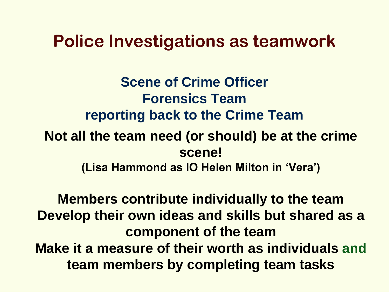### **Police Investigations as teamwork**

**Scene of Crime Officer Forensics Team reporting back to the Crime Team Not all the team need (or should) be at the crime scene! (Lisa Hammond as IO Helen Milton in 'Vera')**

**Members contribute individually to the team Develop their own ideas and skills but shared as a component of the team Make it a measure of their worth as individuals and team members by completing team tasks**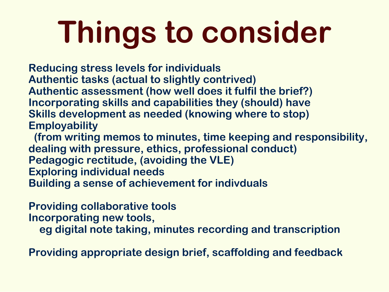# **Things to consider**

**Reducing stress levels for individuals Authentic tasks (actual to slightly contrived) Authentic assessment (how well does it fulfil the brief?) Incorporating skills and capabilities they (should) have Skills development as needed (knowing where to stop) Employability** 

**(from writing memos to minutes, time keeping and responsibility, dealing with pressure, ethics, professional conduct) Pedagogic rectitude, (avoiding the VLE) Exploring individual needs Building a sense of achievement for indivduals**

**Providing collaborative tools Incorporating new tools,** 

**eg digital note taking, minutes recording and transcription**

**Providing appropriate design brief, scaffolding and feedback**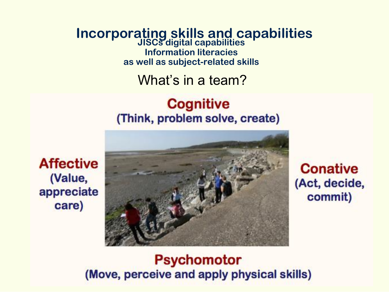**Incorporating skills and capabilities JISCs digital capabilities Information literacies as well as subject-related skills**

What's in a team?

#### **Cognitive** (Think, problem solve, create)



**Conative** (Act, decide, commit)

**Affective** (Value, appreciate care)

#### **Psychomotor** (Move, perceive and apply physical skills)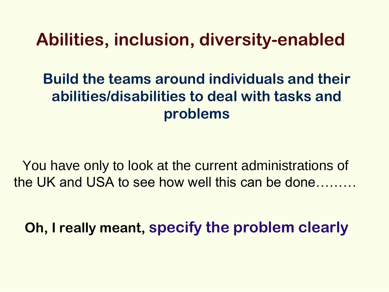## **Abilities, inclusion, diversity-enabled**

### **Build the teams around individuals and their abilities/disabilities to deal with tasks and problems**

You have only to look at the current administrations of the UK and USA to see how well this can be done………

**Oh, I really meant, specify the problem clearly**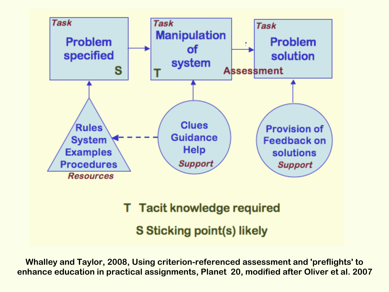

**T** Tacit knowledge required

**S Sticking point(s) likely** 

**Whalley and Taylor, 2008, Using criterion-referenced assessment and 'preflights' to enhance education in practical assignments, Planet 20, modified after Oliver et al. 2007**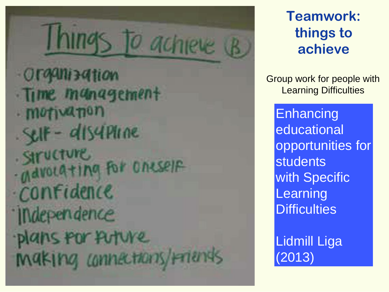# O achie Organization Time management · motivanon  $-8H - dI54Pune$ . SITUCTURE Mavolating for oneself *<u>Confidence</u> <u>Independence</u>* lans for future inaking connections/mands

### **Teamwork: things to achieve**

Group work for people with Learning Difficulties

**Enhancing** educational opportunities for students with Specific **Learning Difficulties** 

Lidmill Liga (2013)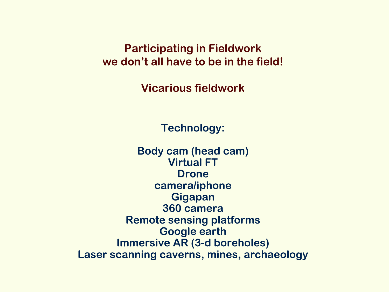**Participating in Fieldwork we don't all have to be in the field!**

**Vicarious fieldwork**

**Technology:** 

**Body cam (head cam) Virtual FT Drone camera/iphone Gigapan 360 camera Remote sensing platforms Google earth Immersive AR (3-d boreholes) Laser scanning caverns, mines, archaeology**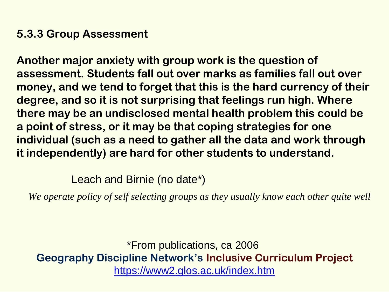#### **5.3.3 Group Assessment**

**Another major anxiety with group work is the question of assessment. Students fall out over marks as families fall out over money, and we tend to forget that this is the hard currency of their degree, and so it is not surprising that feelings run high. Where there may be an undisclosed mental health problem this could be a point of stress, or it may be that coping strategies for one individual (such as a need to gather all the data and work through it independently) are hard for other students to understand.** 

Leach and Birnie (no date\*)

We operate policy of self selecting groups as they usually know each other quite well

\*From publications, ca 2006 **Geography Discipline Network's Inclusive Curriculum Project** <https://www2.glos.ac.uk/index.htm>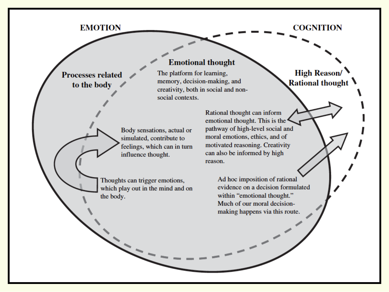#### **EMOTION**

**Processes related** 

to the body

**COGNITION** 

#### **Emotional thought**

The platform for learning, memory, decision-making, and creativity, both in social and nonsocial contexts.

Body sensations, actual or simulated, contribute to feelings, which can in turn influence thought.

Thoughts can trigger emotions, which play out in the mind and on the body.

Rational thought can inform emotional thought. This is the pathway of high-level social and moral emotions, ethics, and of motivated reasoning. Creativity can also be informed by high reason.

> Ad hoc imposition of rational evidence on a decision formulated within "emotional thought." Much of our moral decisionmaking happens via this route.

**High Reason/ Rational thought**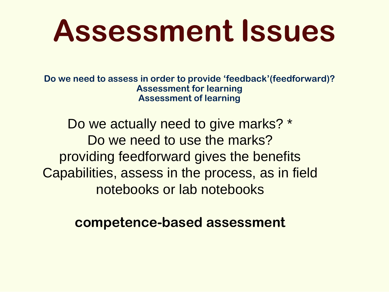# **Assessment Issues**

**Do we need to assess in order to provide 'feedback'(feedforward)? Assessment for learning Assessment of learning**

Do we actually need to give marks? \* Do we need to use the marks? providing feedforward gives the benefits Capabilities, assess in the process, as in field notebooks or lab notebooks

**competence-based assessment**